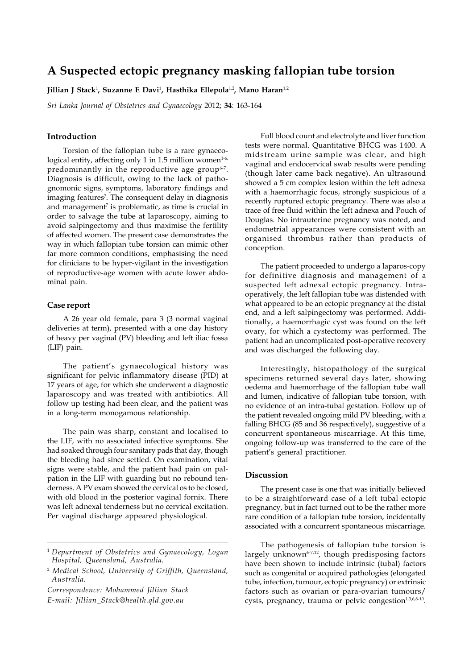# **A Suspected ectopic pregnancy masking fallopian tube torsion**

**Jillian J Stack**<sup>1</sup> **, Suzanne E Davi**<sup>1</sup> **, Hasthika Ellepola**1,2**, Mano Haran**1,2

*Sri Lanka Journal of Obstetrics and Gynaecology* 2012; **34**: 163-164

## **Introduction**

Torsion of the fallopian tube is a rare gynaecological entity, affecting only 1 in 1.5 million women<sup>1-6,</sup> predominantly in the reproductive age group<sup>6-7</sup>. Diagnosis is difficult, owing to the lack of pathognomonic signs, symptoms, laboratory findings and imaging features<sup>7</sup>. The consequent delay in diagnosis and management<sup>7</sup> is problematic, as time is crucial in order to salvage the tube at laparoscopy, aiming to avoid salpingectomy and thus maximise the fertility of affected women. The present case demonstrates the way in which fallopian tube torsion can mimic other far more common conditions, emphasising the need for clinicians to be hyper-vigilant in the investigation of reproductive-age women with acute lower abdominal pain.

### **Case report**

A 26 year old female, para 3 (3 normal vaginal deliveries at term), presented with a one day history of heavy per vaginal (PV) bleeding and left iliac fossa (LIF) pain.

The patient's gynaecological history was significant for pelvic inflammatory disease (PID) at 17 years of age, for which she underwent a diagnostic laparoscopy and was treated with antibiotics. All follow up testing had been clear, and the patient was in a long-term monogamous relationship.

The pain was sharp, constant and localised to the LIF, with no associated infective symptoms. She had soaked through four sanitary pads that day, though the bleeding had since settled. On examination, vital signs were stable, and the patient had pain on palpation in the LIF with guarding but no rebound tenderness. A PV exam showed the cervical os to be closed, with old blood in the posterior vaginal fornix. There was left adnexal tenderness but no cervical excitation. Per vaginal discharge appeared physiological.

*Correspondence: Mohammed Jillian Stack*

*E-mail: Jillian\_Stack@health.qld.gov.au*

Full blood count and electrolyte and liver function tests were normal. Quantitative BHCG was 1400. A midstream urine sample was clear, and high vaginal and endocervical swab results were pending (though later came back negative). An ultrasound showed a 5 cm complex lesion within the left adnexa with a haemorrhagic focus, strongly suspicious of a recently ruptured ectopic pregnancy. There was also a trace of free fluid within the left adnexa and Pouch of Douglas. No intrauterine pregnancy was noted, and endometrial appearances were consistent with an organised thrombus rather than products of conception.

The patient proceeded to undergo a laparos-copy for definitive diagnosis and management of a suspected left adnexal ectopic pregnancy. Intraoperatively, the left fallopian tube was distended with what appeared to be an ectopic pregnancy at the distal end, and a left salpingectomy was performed. Additionally, a haemorrhagic cyst was found on the left ovary, for which a cystectomy was performed. The patient had an uncomplicated post-operative recovery and was discharged the following day.

Interestingly, histopathology of the surgical specimens returned several days later, showing oedema and haemorrhage of the fallopian tube wall and lumen, indicative of fallopian tube torsion, with no evidence of an intra-tubal gestation. Follow up of the patient revealed ongoing mild PV bleeding, with a falling BHCG (85 and 36 respectively), suggestive of a concurrent spontaneous miscarriage. At this time, ongoing follow-up was transferred to the care of the patient's general practitioner.

## **Discussion**

The present case is one that was initially believed to be a straightforward case of a left tubal ectopic pregnancy, but in fact turned out to be the rather more rare condition of a fallopian tube torsion, incidentally associated with a concurrent spontaneous miscarriage.

The pathogenesis of fallopian tube torsion is largely unknown<sup>6-7,12</sup>, though predisposing factors have been shown to include intrinsic (tubal) factors such as congenital or acquired pathologies (elongated tube, infection, tumour, ectopic pregnancy) or extrinsic factors such as ovarian or para-ovarian tumours/ cysts, pregnancy, trauma or pelvic congestion<sup>1,3,6,8-10</sup>.

<sup>1</sup> *Department of Obstetrics and Gynaecology, Logan Hospital, Queensland, Australia.*

<sup>2</sup>  *Medical School, University of Griffith, Queensland, Australia.*